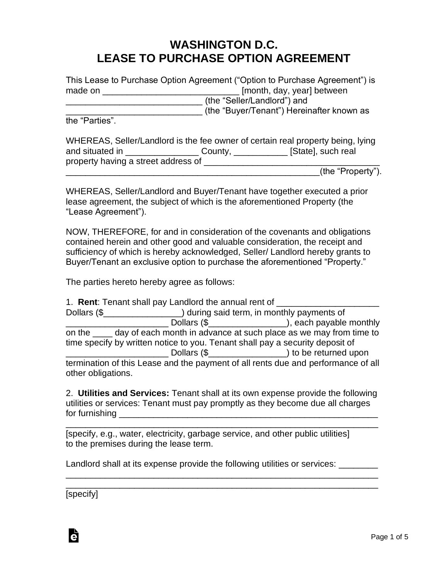## **WASHINGTON D.C. LEASE TO PURCHASE OPTION AGREEMENT**

|                | This Lease to Purchase Option Agreement ("Option to Purchase Agreement") is                        |  |
|----------------|----------------------------------------------------------------------------------------------------|--|
| made on        | [month, day, year] between                                                                         |  |
|                | (the "Seller/Landlord") and                                                                        |  |
|                | (the "Buyer/Tenant") Hereinafter known as                                                          |  |
| the "Parties". |                                                                                                    |  |
|                | WHEREAS, Seller/Landlord is the fee owner of certain real property being, lying<br>$\overline{10}$ |  |

| WHEREAS, Seller/Landlord is the fee owner of certain real property being, lying |         |                    |  |  |
|---------------------------------------------------------------------------------|---------|--------------------|--|--|
| and situated in                                                                 | County, | [State], such real |  |  |
| property having a street address of                                             |         |                    |  |  |

\_\_\_\_\_\_\_\_\_\_\_\_\_\_\_\_\_\_\_\_\_\_\_\_\_\_\_\_\_\_\_\_\_\_\_\_\_\_\_\_\_\_\_\_\_\_\_\_\_\_\_\_(the "Property").

WHEREAS, Seller/Landlord and Buyer/Tenant have together executed a prior lease agreement, the subject of which is the aforementioned Property (the "Lease Agreement").

NOW, THEREFORE, for and in consideration of the covenants and obligations contained herein and other good and valuable consideration, the receipt and sufficiency of which is hereby acknowledged, Seller/ Landlord hereby grants to Buyer/Tenant an exclusive option to purchase the aforementioned "Property."

The parties hereto hereby agree as follows:

|                                                                               | 1. Rent: Tenant shall pay Landlord the annual rent of                             |                                                                       |  |  |
|-------------------------------------------------------------------------------|-----------------------------------------------------------------------------------|-----------------------------------------------------------------------|--|--|
|                                                                               |                                                                                   | Dollars (\$ [Massenger 2015) during said term, in monthly payments of |  |  |
|                                                                               |                                                                                   | Dollars (\$_____________________), each payable monthly               |  |  |
| on the same day of each month in advance at such place as we may from time to |                                                                                   |                                                                       |  |  |
| time specify by written notice to you. Tenant shall pay a security deposit of |                                                                                   |                                                                       |  |  |
|                                                                               |                                                                                   |                                                                       |  |  |
| other obligations.                                                            | termination of this Lease and the payment of all rents due and performance of all |                                                                       |  |  |

2. **Utilities and Services:** Tenant shall at its own expense provide the following utilities or services: Tenant must pay promptly as they become due all charges for furnishing \_\_\_\_\_\_\_\_\_\_\_\_\_\_\_\_\_\_\_\_\_\_\_\_\_\_\_\_\_\_\_\_\_\_\_\_\_\_\_\_\_\_\_\_\_\_\_\_\_\_\_\_\_

\_\_\_\_\_\_\_\_\_\_\_\_\_\_\_\_\_\_\_\_\_\_\_\_\_\_\_\_\_\_\_\_\_\_\_\_\_\_\_\_\_\_\_\_\_\_\_\_\_\_\_\_\_\_\_\_\_\_\_\_\_\_\_\_ [specify, e.g., water, electricity, garbage service, and other public utilities] to the premises during the lease term.

Landlord shall at its expense provide the following utilities or services:

\_\_\_\_\_\_\_\_\_\_\_\_\_\_\_\_\_\_\_\_\_\_\_\_\_\_\_\_\_\_\_\_\_\_\_\_\_\_\_\_\_\_\_\_\_\_\_\_\_\_\_\_\_\_\_\_\_\_\_\_\_\_\_\_ \_\_\_\_\_\_\_\_\_\_\_\_\_\_\_\_\_\_\_\_\_\_\_\_\_\_\_\_\_\_\_\_\_\_\_\_\_\_\_\_\_\_\_\_\_\_\_\_\_\_\_\_\_\_\_\_\_\_\_\_\_\_\_\_

[specify]

Ġ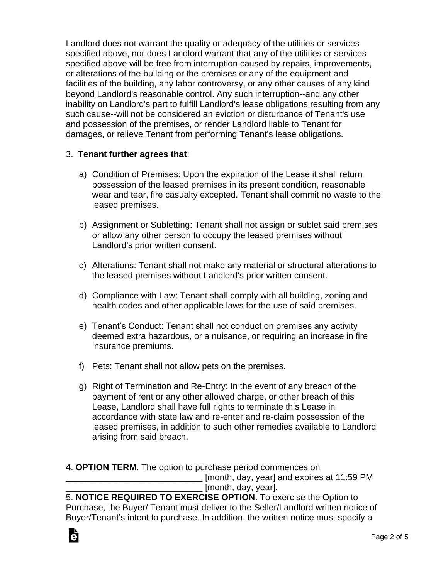Landlord does not warrant the quality or adequacy of the utilities or services specified above, nor does Landlord warrant that any of the utilities or services specified above will be free from interruption caused by repairs, improvements, or alterations of the building or the premises or any of the equipment and facilities of the building, any labor controversy, or any other causes of any kind beyond Landlord's reasonable control. Any such interruption--and any other inability on Landlord's part to fulfill Landlord's lease obligations resulting from any such cause--will not be considered an eviction or disturbance of Tenant's use and possession of the premises, or render Landlord liable to Tenant for damages, or relieve Tenant from performing Tenant's lease obligations.

## 3. **Tenant further agrees that**:

- a) Condition of Premises: Upon the expiration of the Lease it shall return possession of the leased premises in its present condition, reasonable wear and tear, fire casualty excepted. Tenant shall commit no waste to the leased premises.
- b) Assignment or Subletting: Tenant shall not assign or sublet said premises or allow any other person to occupy the leased premises without Landlord's prior written consent.
- c) Alterations: Tenant shall not make any material or structural alterations to the leased premises without Landlord's prior written consent.
- d) Compliance with Law: Tenant shall comply with all building, zoning and health codes and other applicable laws for the use of said premises.
- e) Tenant's Conduct: Tenant shall not conduct on premises any activity deemed extra hazardous, or a nuisance, or requiring an increase in fire insurance premiums.
- f) Pets: Tenant shall not allow pets on the premises.
- g) Right of Termination and Re-Entry: In the event of any breach of the payment of rent or any other allowed charge, or other breach of this Lease, Landlord shall have full rights to terminate this Lease in accordance with state law and re-enter and re-claim possession of the leased premises, in addition to such other remedies available to Landlord arising from said breach.

4. **OPTION TERM**. The option to purchase period commences on

[month, day, year] and expires at 11:59 PM [month, day, year].

5. **NOTICE REQUIRED TO EXERCISE OPTION**. To exercise the Option to Purchase, the Buyer/ Tenant must deliver to the Seller/Landlord written notice of Buyer/Tenant's intent to purchase. In addition, the written notice must specify a

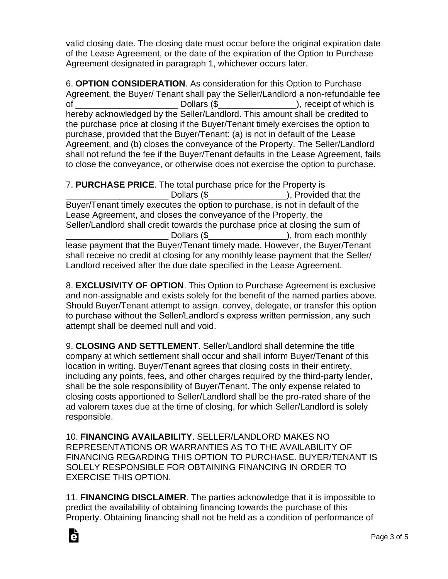valid closing date. The closing date must occur before the original expiration date of the Lease Agreement, or the date of the expiration of the Option to Purchase Agreement designated in paragraph 1, whichever occurs later.

6. **OPTION CONSIDERATION**. As consideration for this Option to Purchase Agreement, the Buyer/ Tenant shall pay the Seller/Landlord a non-refundable fee of Dollars (\$ Dollars (\$ ), receipt of which is hereby acknowledged by the Seller/Landlord. This amount shall be credited to the purchase price at closing if the Buyer/Tenant timely exercises the option to purchase, provided that the Buyer/Tenant: (a) is not in default of the Lease Agreement, and (b) closes the conveyance of the Property. The Seller/Landlord shall not refund the fee if the Buyer/Tenant defaults in the Lease Agreement, fails to close the conveyance, or otherwise does not exercise the option to purchase.

7. **PURCHASE PRICE**. The total purchase price for the Property is Dollars (\$ The Collars of the Dollars (\$  $\sim$  0.5 Provided that the Dollars of the Collars of the Dollars of the Collars of the Collars of the Collars of the Collars of the Collars of the Collars of the Collars of the Coll Buyer/Tenant timely executes the option to purchase, is not in default of the Lease Agreement, and closes the conveyance of the Property, the Seller/Landlord shall credit towards the purchase price at closing the sum of \_\_\_\_\_\_\_\_\_\_\_\_\_\_\_\_\_\_\_\_\_ Dollars (\$\_\_\_\_\_\_\_\_\_\_\_\_\_\_\_\_), from each monthly lease payment that the Buyer/Tenant timely made. However, the Buyer/Tenant shall receive no credit at closing for any monthly lease payment that the Seller/ Landlord received after the due date specified in the Lease Agreement.

8. **EXCLUSIVITY OF OPTION**. This Option to Purchase Agreement is exclusive and non-assignable and exists solely for the benefit of the named parties above. Should Buyer/Tenant attempt to assign, convey, delegate, or transfer this option to purchase without the Seller/Landlord's express written permission, any such attempt shall be deemed null and void.

9. **CLOSING AND SETTLEMENT**. Seller/Landlord shall determine the title company at which settlement shall occur and shall inform Buyer/Tenant of this location in writing. Buyer/Tenant agrees that closing costs in their entirety, including any points, fees, and other charges required by the third-party lender, shall be the sole responsibility of Buyer/Tenant. The only expense related to closing costs apportioned to Seller/Landlord shall be the pro-rated share of the ad valorem taxes due at the time of closing, for which Seller/Landlord is solely responsible.

10. **FINANCING AVAILABILITY**. SELLER/LANDLORD MAKES NO REPRESENTATIONS OR WARRANTIES AS TO THE AVAILABILITY OF FINANCING REGARDING THIS OPTION TO PURCHASE. BUYER/TENANT IS SOLELY RESPONSIBLE FOR OBTAINING FINANCING IN ORDER TO EXERCISE THIS OPTION.

11. **FINANCING DISCLAIMER**. The parties acknowledge that it is impossible to predict the availability of obtaining financing towards the purchase of this Property. Obtaining financing shall not be held as a condition of performance of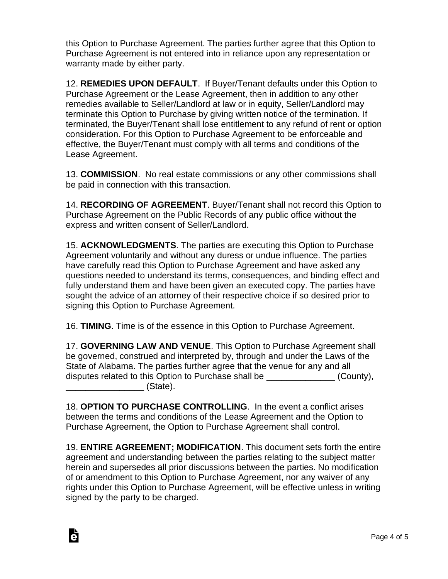this Option to Purchase Agreement. The parties further agree that this Option to Purchase Agreement is not entered into in reliance upon any representation or warranty made by either party.

12. **REMEDIES UPON DEFAULT**. If Buyer/Tenant defaults under this Option to Purchase Agreement or the Lease Agreement, then in addition to any other remedies available to Seller/Landlord at law or in equity, Seller/Landlord may terminate this Option to Purchase by giving written notice of the termination. If terminated, the Buyer/Tenant shall lose entitlement to any refund of rent or option consideration. For this Option to Purchase Agreement to be enforceable and effective, the Buyer/Tenant must comply with all terms and conditions of the Lease Agreement.

13. **COMMISSION**. No real estate commissions or any other commissions shall be paid in connection with this transaction.

14. **RECORDING OF AGREEMENT**. Buyer/Tenant shall not record this Option to Purchase Agreement on the Public Records of any public office without the express and written consent of Seller/Landlord.

15. **ACKNOWLEDGMENTS**. The parties are executing this Option to Purchase Agreement voluntarily and without any duress or undue influence. The parties have carefully read this Option to Purchase Agreement and have asked any questions needed to understand its terms, consequences, and binding effect and fully understand them and have been given an executed copy. The parties have sought the advice of an attorney of their respective choice if so desired prior to signing this Option to Purchase Agreement.

16. **TIMING**. Time is of the essence in this Option to Purchase Agreement.

17. **GOVERNING LAW AND VENUE**. This Option to Purchase Agreement shall be governed, construed and interpreted by, through and under the Laws of the State of Alabama. The parties further agree that the venue for any and all disputes related to this Option to Purchase shall be  $(Country)$ ,  $\blacksquare$  (State).

18. **OPTION TO PURCHASE CONTROLLING**. In the event a conflict arises between the terms and conditions of the Lease Agreement and the Option to Purchase Agreement, the Option to Purchase Agreement shall control.

19. **ENTIRE AGREEMENT; MODIFICATION**. This document sets forth the entire agreement and understanding between the parties relating to the subject matter herein and supersedes all prior discussions between the parties. No modification of or amendment to this Option to Purchase Agreement, nor any waiver of any rights under this Option to Purchase Agreement, will be effective unless in writing signed by the party to be charged.

Ġ